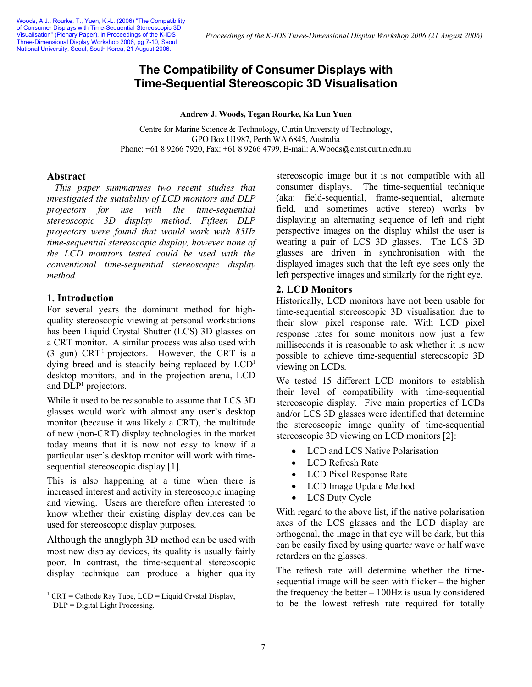# **The Compatibility of Consumer Displays with Time-Sequential Stereoscopic 3D Visualisation**

**Andrew J. Woods, Tegan Rourke, Ka Lun Yuen** 

Centre for Marine Science & Technology, Curtin University of Technology, GPO Box U1987, Perth WA 6845, Australia Phone: +61 8 9266 7920, Fax: +61 8 9266 4799, E-mail: A. Woods@cmst.curtin.edu.au

#### **Abstract**

*This paper summarises two recent studies that investigated the suitability of LCD monitors and DLP projectors for use with the time-sequential stereoscopic 3D display method. Fifteen DLP projectors were found that would work with 85Hz time-sequential stereoscopic display, however none of the LCD monitors tested could be used with the conventional time-sequential stereoscopic display method.* 

#### **1. Introduction**

For several years the dominant method for highquality stereoscopic viewing at personal workstations has been Liquid Crystal Shutter (LCS) 3D glasses on a CRT monitor. A similar process was also used with (3 gun)  $CRT<sup>1</sup>$  projectors. However, the CRT is a dying breed and is steadily being replaced by LCD<sup>1</sup> desktop monitors, and in the projection arena, LCD and DLP<sup>1</sup> projectors.

While it used to be reasonable to assume that LCS 3D glasses would work with almost any user's desktop monitor (because it was likely a CRT), the multitude of new (non-CRT) display technologies in the market today means that it is now not easy to know if a particular user's desktop monitor will work with timesequential stereoscopic display [1].

This is also happening at a time when there is increased interest and activity in stereoscopic imaging and viewing. Users are therefore often interested to know whether their existing display devices can be used for stereoscopic display purposes.

Although the anaglyph 3D method can be used with most new display devices, its quality is usually fairly poor. In contrast, the time-sequential stereoscopic display technique can produce a higher quality

 $\overline{a}$ 

stereoscopic image but it is not compatible with all consumer displays. The time-sequential technique (aka: field-sequential, frame-sequential, alternate field, and sometimes active stereo) works by displaying an alternating sequence of left and right perspective images on the display whilst the user is wearing a pair of LCS 3D glasses. The LCS 3D glasses are driven in synchronisation with the displayed images such that the left eye sees only the left perspective images and similarly for the right eye.

#### **2. LCD Monitors**

Historically, LCD monitors have not been usable for time-sequential stereoscopic 3D visualisation due to their slow pixel response rate. With LCD pixel response rates for some monitors now just a few milliseconds it is reasonable to ask whether it is now possible to achieve time-sequential stereoscopic 3D viewing on LCDs.

We tested 15 different LCD monitors to establish their level of compatibility with time-sequential stereoscopic display. Five main properties of LCDs and/or LCS 3D glasses were identified that determine the stereoscopic image quality of time-sequential stereoscopic 3D viewing on LCD monitors [2]:

- LCD and LCS Native Polarisation
- LCD Refresh Rate
- LCD Pixel Response Rate
- LCD Image Update Method
- LCS Duty Cycle

With regard to the above list, if the native polarisation axes of the LCS glasses and the LCD display are orthogonal, the image in that eye will be dark, but this can be easily fixed by using quarter wave or half wave retarders on the glasses.

The refresh rate will determine whether the timesequential image will be seen with flicker – the higher the frequency the better  $-100\text{Hz}$  is usually considered to be the lowest refresh rate required for totally

<sup>&</sup>lt;sup>1</sup> CRT = Cathode Ray Tube, LCD = Liquid Crystal Display,

 $DLP = Digital Light Processing$ .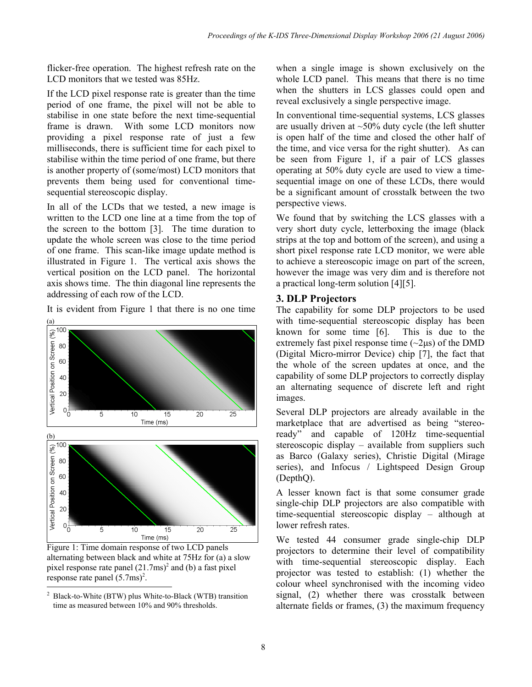flicker-free operation. The highest refresh rate on the LCD monitors that we tested was 85Hz.

If the LCD pixel response rate is greater than the time period of one frame, the pixel will not be able to stabilise in one state before the next time-sequential frame is drawn. With some LCD monitors now providing a pixel response rate of just a few milliseconds, there is sufficient time for each pixel to stabilise within the time period of one frame, but there is another property of (some/most) LCD monitors that prevents them being used for conventional timesequential stereoscopic display.

In all of the LCDs that we tested, a new image is written to the LCD one line at a time from the top of the screen to the bottom [3]. The time duration to update the whole screen was close to the time period of one frame. This scan-like image update method is illustrated in Figure 1. The vertical axis shows the vertical position on the LCD panel. The horizontal axis shows time. The thin diagonal line represents the addressing of each row of the LCD.

It is evident from Figure 1 that there is no one time





Figure 1: Time domain response of two LCD panels alternating between black and white at 75Hz for (a) a slow pixel response rate panel  $(21.7 \text{ms})^2$  and (b) a fast pixel response rate panel  $(5.7 \text{ms})^2$ .

when a single image is shown exclusively on the whole LCD panel. This means that there is no time when the shutters in LCS glasses could open and reveal exclusively a single perspective image.

In conventional time-sequential systems, LCS glasses are usually driven at  $\sim$ 50% duty cycle (the left shutter is open half of the time and closed the other half of the time, and vice versa for the right shutter). As can be seen from Figure 1, if a pair of LCS glasses operating at 50% duty cycle are used to view a timesequential image on one of these LCDs, there would be a significant amount of crosstalk between the two perspective views.

We found that by switching the LCS glasses with a very short duty cycle, letterboxing the image (black strips at the top and bottom of the screen), and using a short pixel response rate LCD monitor, we were able to achieve a stereoscopic image on part of the screen, however the image was very dim and is therefore not a practical long-term solution [4][5].

## **3. DLP Projectors**

The capability for some DLP projectors to be used with time-sequential stereoscopic display has been known for some time [6]. This is due to the extremely fast pixel response time  $(\sim 2 \mu s)$  of the DMD (Digital Micro-mirror Device) chip [7], the fact that the whole of the screen updates at once, and the capability of some DLP projectors to correctly display an alternating sequence of discrete left and right images.

Several DLP projectors are already available in the marketplace that are advertised as being "stereoready" and capable of 120Hz time-sequential stereoscopic display – available from suppliers such as Barco (Galaxy series), Christie Digital (Mirage series), and Infocus / Lightspeed Design Group (DepthQ).

A lesser known fact is that some consumer grade single-chip DLP projectors are also compatible with time-sequential stereoscopic display – although at lower refresh rates.

We tested 44 consumer grade single-chip DLP projectors to determine their level of compatibility with time-sequential stereoscopic display. Each projector was tested to establish: (1) whether the colour wheel synchronised with the incoming video signal, (2) whether there was crosstalk between alternate fields or frames, (3) the maximum frequency

 $\overline{a}$ 2 Black-to-White (BTW) plus White-to-Black (WTB) transition time as measured between 10% and 90% thresholds.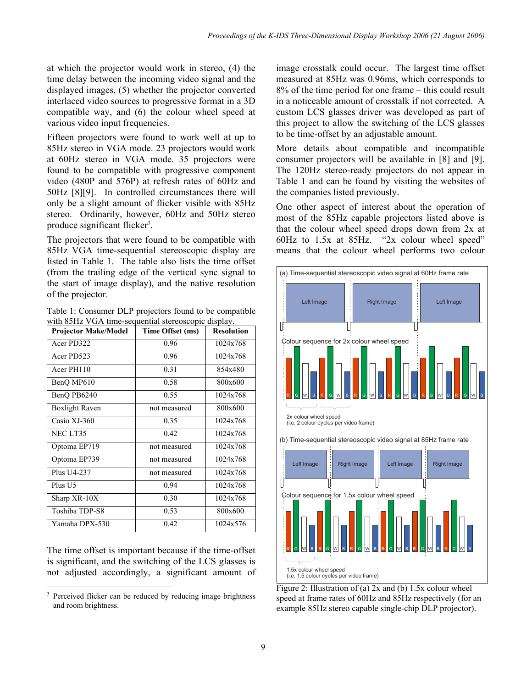at which the projector would work in stereo, (4) the time delay between the incoming video signal and the displayed images, (5) whether the projector converted interlaced video sources to progressive format in a 3D compatible way, and (6) the colour wheel speed at various video input frequencies.

Fifteen projectors were found to work well at up to 85Hz stereo in VGA mode. 23 projectors would work at 60Hz stereo in VGA mode. 35 projectors were found to be compatible with progressive component video (480P and 576P) at refresh rates of 60Hz and 50Hz [8][9]. In controlled circumstances there will only be a slight amount of flicker visible with 85Hz stereo. Ordinarily, however, 60Hz and 50Hz stereo produce significant flicker<sup>3</sup>.

The projectors that were found to be compatible with 85Hz VGA time-sequential stereoscopic display are listed in Table 1. The table also lists the time offset (from the trailing edge of the vertical sync signal to the start of image display), and the native resolution of the projector.

Table 1: Consumer DLP projectors found to be compatible with 85Hz VGA time-sequential stereoscopic display.

| <b>Projector Make/Model</b> | Time Offset (ms) | <b>Resolution</b> |
|-----------------------------|------------------|-------------------|
| Acer PD322                  | 0.96             | 1024x768          |
| Acer PD523                  | 0.96             | 1024x768          |
| Acer PH110                  | 0.31             | 854x480           |
| BenQ MP610                  | 0.58             | 800x600           |
| BenQ PB6240                 | 0.55             | 1024x768          |
| <b>Boxlight Raven</b>       | not measured     | 800x600           |
| Casio XJ-360                | 0.35             | 1024x768          |
| NEC LT35                    | 0.42             | 1024x768          |
| Optoma EP719                | not measured     | 1024x768          |
| Optoma EP739                | not measured     | 1024x768          |
| Plus U4-237                 | not measured     | 1024x768          |
| Plus U <sub>5</sub>         | 0.94             | 1024x768          |
| Sharp XR-10X                | 0.30             | 1024x768          |
| Toshiba TDP-S8              | 0.53             | 800x600           |
| Yamaha DPX-530              | 0.42             | 1024x576          |

The time offset is important because if the time-offset is significant, and the switching of the LCS glasses is not adjusted accordingly, a significant amount of

 $\overline{a}$ 

image crosstalk could occur. The largest time offset measured at 85Hz was 0.96ms, which corresponds to 8% of the time period for one frame – this could result in a noticeable amount of crosstalk if not corrected. A custom LCS glasses driver was developed as part of this project to allow the switching of the LCS glasses to be time-offset by an adjustable amount.

More details about compatible and incompatible consumer projectors will be available in [8] and [9]. The 120Hz stereo-ready projectors do not appear in Table 1 and can be found by visiting the websites of the companies listed previously.

One other aspect of interest about the operation of most of the 85Hz capable projectors listed above is that the colour wheel speed drops down from 2x at 60Hz to 1.5x at 85Hz. "2x colour wheel speed" means that the colour wheel performs two colour



Figure 2: Illustration of (a) 2x and (b) 1.5x colour wheel speed at frame rates of 60Hz and 85Hz respectively (for an example 85Hz stereo capable single-chip DLP projector).

<sup>3</sup> Perceived flicker can be reduced by reducing image brightness and room brightness.